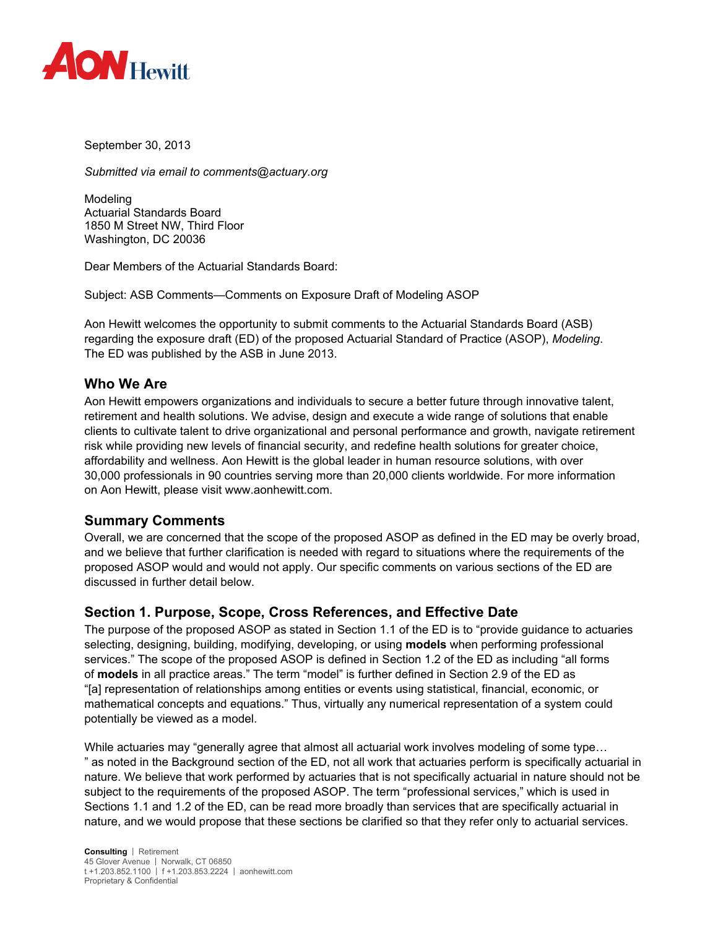

September 30, 2013

*Submitted via email to comments@actuary.org* 

Modeling Actuarial Standards Board 1850 M Street NW, Third Floor Washington, DC 20036

Dear Members of the Actuarial Standards Board:

Subject: ASB Comments—Comments on Exposure Draft of Modeling ASOP

Aon Hewitt welcomes the opportunity to submit comments to the Actuarial Standards Board (ASB) regarding the exposure draft (ED) of the proposed Actuarial Standard of Practice (ASOP), *Modeling*. The ED was published by the ASB in June 2013.

#### **Who We Are**

Aon Hewitt empowers organizations and individuals to secure a better future through innovative talent, retirement and health solutions. We advise, design and execute a wide range of solutions that enable clients to cultivate talent to drive organizational and personal performance and growth, navigate retirement risk while providing new levels of financial security, and redefine health solutions for greater choice, affordability and wellness. Aon Hewitt is the global leader in human resource solutions, with over 30,000 professionals in 90 countries serving more than 20,000 clients worldwide. For more information on Aon Hewitt, please visit www.aonhewitt.com.

#### **Summary Comments**

Overall, we are concerned that the scope of the proposed ASOP as defined in the ED may be overly broad, and we believe that further clarification is needed with regard to situations where the requirements of the proposed ASOP would and would not apply. Our specific comments on various sections of the ED are discussed in further detail below.

## **Section 1. Purpose, Scope, Cross References, and Effective Date**

The purpose of the proposed ASOP as stated in Section 1.1 of the ED is to "provide guidance to actuaries selecting, designing, building, modifying, developing, or using **models** when performing professional services." The scope of the proposed ASOP is defined in Section 1.2 of the ED as including "all forms of **models** in all practice areas." The term "model" is further defined in Section 2.9 of the ED as "[a] representation of relationships among entities or events using statistical, financial, economic, or mathematical concepts and equations." Thus, virtually any numerical representation of a system could potentially be viewed as a model.

While actuaries may "generally agree that almost all actuarial work involves modeling of some type... " as noted in the Background section of the ED, not all work that actuaries perform is specifically actuarial in nature. We believe that work performed by actuaries that is not specifically actuarial in nature should not be subject to the requirements of the proposed ASOP. The term "professional services," which is used in Sections 1.1 and 1.2 of the ED, can be read more broadly than services that are specifically actuarial in nature, and we would propose that these sections be clarified so that they refer only to actuarial services.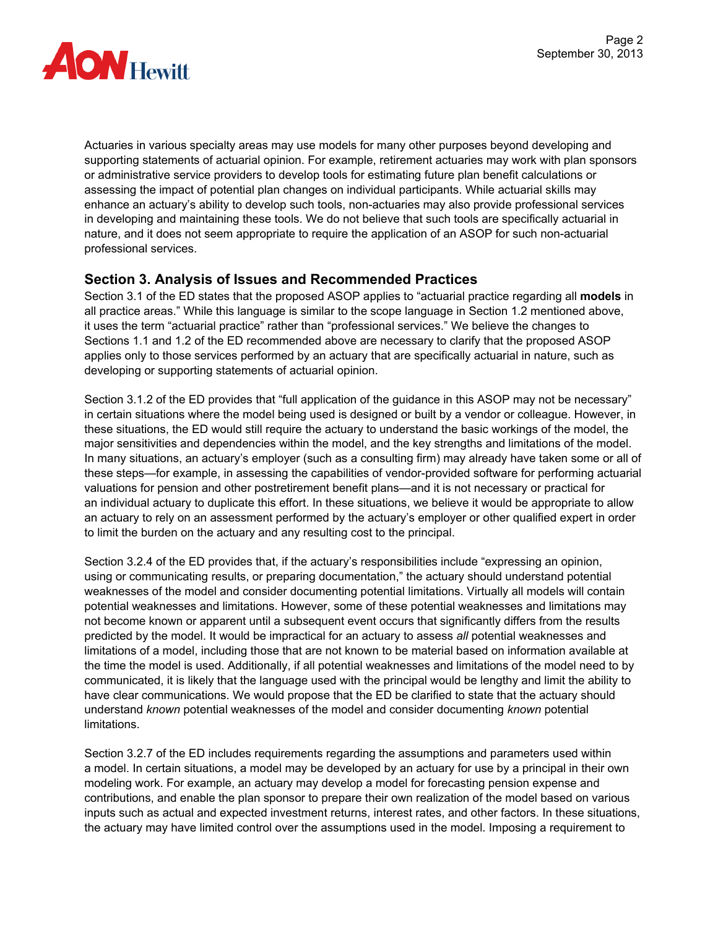

Actuaries in various specialty areas may use models for many other purposes beyond developing and supporting statements of actuarial opinion. For example, retirement actuaries may work with plan sponsors or administrative service providers to develop tools for estimating future plan benefit calculations or assessing the impact of potential plan changes on individual participants. While actuarial skills may enhance an actuary's ability to develop such tools, non-actuaries may also provide professional services in developing and maintaining these tools. We do not believe that such tools are specifically actuarial in nature, and it does not seem appropriate to require the application of an ASOP for such non-actuarial professional services.

## **Section 3. Analysis of Issues and Recommended Practices**

Section 3.1 of the ED states that the proposed ASOP applies to "actuarial practice regarding all **models** in all practice areas." While this language is similar to the scope language in Section 1.2 mentioned above, it uses the term "actuarial practice" rather than "professional services." We believe the changes to Sections 1.1 and 1.2 of the ED recommended above are necessary to clarify that the proposed ASOP applies only to those services performed by an actuary that are specifically actuarial in nature, such as developing or supporting statements of actuarial opinion.

Section 3.1.2 of the ED provides that "full application of the guidance in this ASOP may not be necessary" in certain situations where the model being used is designed or built by a vendor or colleague. However, in these situations, the ED would still require the actuary to understand the basic workings of the model, the major sensitivities and dependencies within the model, and the key strengths and limitations of the model. In many situations, an actuary's employer (such as a consulting firm) may already have taken some or all of these steps—for example, in assessing the capabilities of vendor-provided software for performing actuarial valuations for pension and other postretirement benefit plans—and it is not necessary or practical for an individual actuary to duplicate this effort. In these situations, we believe it would be appropriate to allow an actuary to rely on an assessment performed by the actuary's employer or other qualified expert in order to limit the burden on the actuary and any resulting cost to the principal.

Section 3.2.4 of the ED provides that, if the actuary's responsibilities include "expressing an opinion, using or communicating results, or preparing documentation," the actuary should understand potential weaknesses of the model and consider documenting potential limitations. Virtually all models will contain potential weaknesses and limitations. However, some of these potential weaknesses and limitations may not become known or apparent until a subsequent event occurs that significantly differs from the results predicted by the model. It would be impractical for an actuary to assess *all* potential weaknesses and limitations of a model, including those that are not known to be material based on information available at the time the model is used. Additionally, if all potential weaknesses and limitations of the model need to by communicated, it is likely that the language used with the principal would be lengthy and limit the ability to have clear communications. We would propose that the ED be clarified to state that the actuary should understand *known* potential weaknesses of the model and consider documenting *known* potential limitations.

Section 3.2.7 of the ED includes requirements regarding the assumptions and parameters used within a model. In certain situations, a model may be developed by an actuary for use by a principal in their own modeling work. For example, an actuary may develop a model for forecasting pension expense and contributions, and enable the plan sponsor to prepare their own realization of the model based on various inputs such as actual and expected investment returns, interest rates, and other factors. In these situations, the actuary may have limited control over the assumptions used in the model. Imposing a requirement to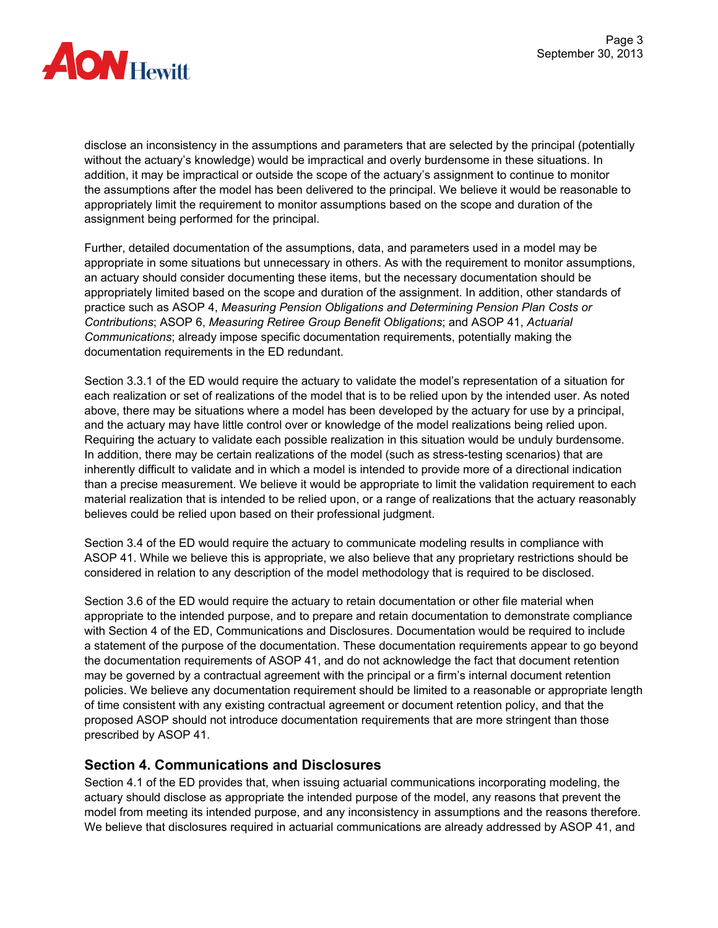

disclose an inconsistency in the assumptions and parameters that are selected by the principal (potentially without the actuary's knowledge) would be impractical and overly burdensome in these situations. In addition, it may be impractical or outside the scope of the actuary's assignment to continue to monitor the assumptions after the model has been delivered to the principal. We believe it would be reasonable to appropriately limit the requirement to monitor assumptions based on the scope and duration of the assignment being performed for the principal.

Further, detailed documentation of the assumptions, data, and parameters used in a model may be appropriate in some situations but unnecessary in others. As with the requirement to monitor assumptions, an actuary should consider documenting these items, but the necessary documentation should be appropriately limited based on the scope and duration of the assignment. In addition, other standards of practice such as ASOP 4, *Measuring Pension Obligations and Determining Pension Plan Costs or Contributions*; ASOP 6, *Measuring Retiree Group Benefit Obligations*; and ASOP 41, *Actuarial Communications*; already impose specific documentation requirements, potentially making the documentation requirements in the ED redundant.

Section 3.3.1 of the ED would require the actuary to validate the model's representation of a situation for each realization or set of realizations of the model that is to be relied upon by the intended user. As noted above, there may be situations where a model has been developed by the actuary for use by a principal, and the actuary may have little control over or knowledge of the model realizations being relied upon. Requiring the actuary to validate each possible realization in this situation would be unduly burdensome. In addition, there may be certain realizations of the model (such as stress-testing scenarios) that are inherently difficult to validate and in which a model is intended to provide more of a directional indication than a precise measurement. We believe it would be appropriate to limit the validation requirement to each material realization that is intended to be relied upon, or a range of realizations that the actuary reasonably believes could be relied upon based on their professional judgment.

Section 3.4 of the ED would require the actuary to communicate modeling results in compliance with ASOP 41. While we believe this is appropriate, we also believe that any proprietary restrictions should be considered in relation to any description of the model methodology that is required to be disclosed.

Section 3.6 of the ED would require the actuary to retain documentation or other file material when appropriate to the intended purpose, and to prepare and retain documentation to demonstrate compliance with Section 4 of the ED, Communications and Disclosures. Documentation would be required to include a statement of the purpose of the documentation. These documentation requirements appear to go beyond the documentation requirements of ASOP 41, and do not acknowledge the fact that document retention may be governed by a contractual agreement with the principal or a firm's internal document retention policies. We believe any documentation requirement should be limited to a reasonable or appropriate length of time consistent with any existing contractual agreement or document retention policy, and that the proposed ASOP should not introduce documentation requirements that are more stringent than those prescribed by ASOP 41.

## **Section 4. Communications and Disclosures**

Section 4.1 of the ED provides that, when issuing actuarial communications incorporating modeling, the actuary should disclose as appropriate the intended purpose of the model, any reasons that prevent the model from meeting its intended purpose, and any inconsistency in assumptions and the reasons therefore. We believe that disclosures required in actuarial communications are already addressed by ASOP 41, and